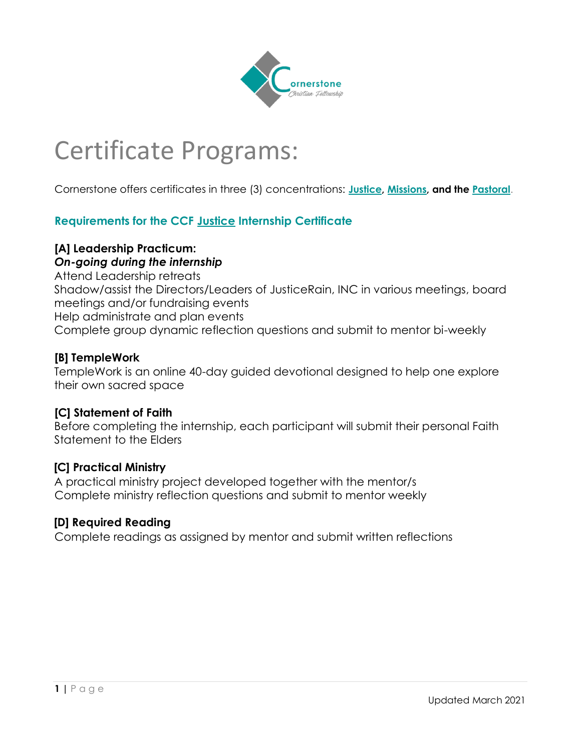

# Certificate Programs:

Cornerstone offers certificates in three (3) concentrations: **Justice, Missions, and the Pastoral**.

# **Requirements for the CCF Justice Internship Certificate**

# **[A] Leadership Practicum:**

#### *On-going during the internship*

Attend Leadership retreats Shadow/assist the Directors/Leaders of JusticeRain, INC in various meetings, board meetings and/or fundraising events Help administrate and plan events Complete group dynamic reflection questions and submit to mentor bi-weekly

#### **[B] TempleWork**

TempleWork is an online 40-day guided devotional designed to help one explore their own sacred space

#### **[C] Statement of Faith**

Before completing the internship, each participant will submit their personal Faith Statement to the Elders

#### **[C] Practical Ministry**

A practical ministry project developed together with the mentor/s Complete ministry reflection questions and submit to mentor weekly

#### **[D] Required Reading**

Complete readings as assigned by mentor and submit written reflections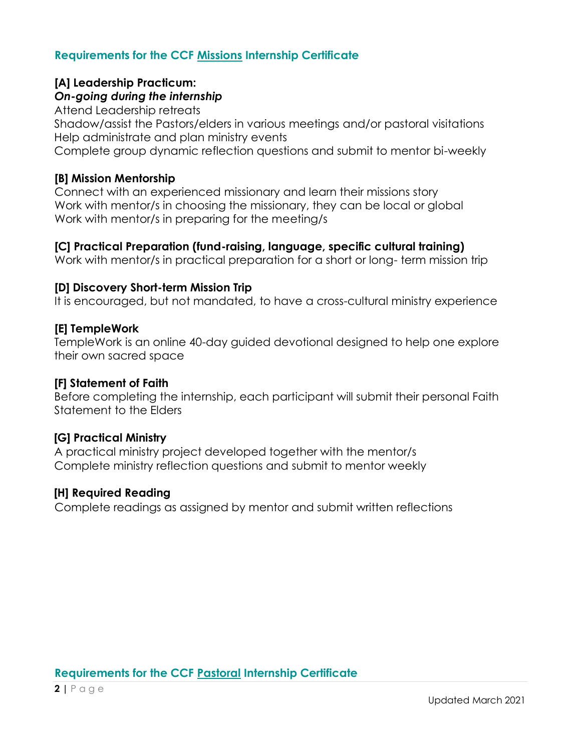# **Requirements for the CCF Missions Internship Certificate**

# **[A] Leadership Practicum:**

#### *On-going during the internship*

Attend Leadership retreats

Shadow/assist the Pastors/elders in various meetings and/or pastoral visitations Help administrate and plan ministry events

Complete group dynamic reflection questions and submit to mentor bi-weekly

#### **[B] Mission Mentorship**

Connect with an experienced missionary and learn their missions story Work with mentor/s in choosing the missionary, they can be local or global Work with mentor/s in preparing for the meeting/s

#### **[C] Practical Preparation (fund-raising, language, specific cultural training)**

Work with mentor/s in practical preparation for a short or long- term mission trip

#### **[D] Discovery Short-term Mission Trip**

It is encouraged, but not mandated, to have a cross-cultural ministry experience

#### **[E] TempleWork**

TempleWork is an online 40-day guided devotional designed to help one explore their own sacred space

#### **[F] Statement of Faith**

Before completing the internship, each participant will submit their personal Faith Statement to the Elders

#### **[G] Practical Ministry**

A practical ministry project developed together with the mentor/s Complete ministry reflection questions and submit to mentor weekly

#### **[H] Required Reading**

Complete readings as assigned by mentor and submit written reflections